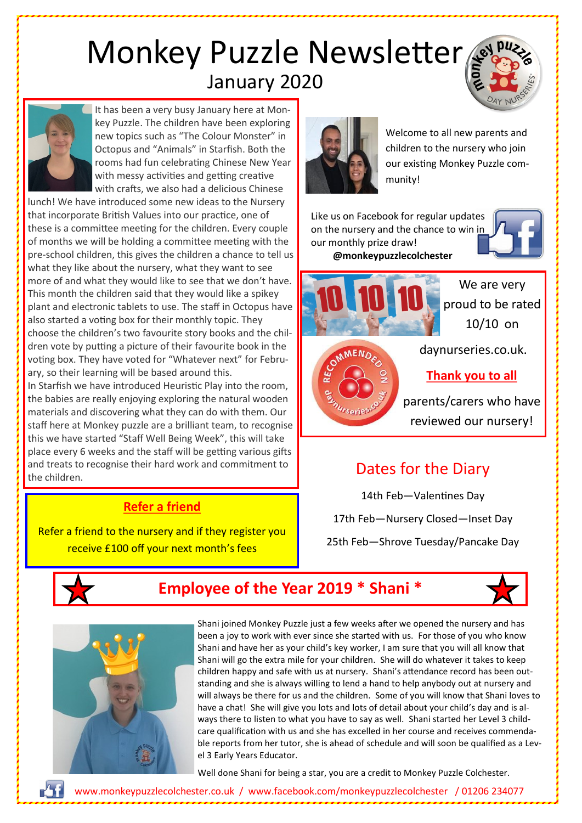# Monkey Puzzle Newsletter January 2020



It has been a very busy January here at Monkey Puzzle. The children have been exploring new topics such as "The Colour Monster" in Octopus and "Animals" in Starfish. Both the rooms had fun celebrating Chinese New Year with messy activities and getting creative with crafts, we also had a delicious Chinese

lunch! We have introduced some new ideas to the Nursery that incorporate British Values into our practice, one of these is a committee meeting for the children. Every couple of months we will be holding a committee meeting with the pre-school children, this gives the children a chance to tell us what they like about the nursery, what they want to see more of and what they would like to see that we don't have. This month the children said that they would like a spikey plant and electronic tablets to use. The staff in Octopus have also started a voting box for their monthly topic. They choose the children's two favourite story books and the children vote by putting a picture of their favourite book in the voting box. They have voted for "Whatever next" for February, so their learning will be based around this.

In Starfish we have introduced Heuristic Play into the room, the babies are really enjoying exploring the natural wooden materials and discovering what they can do with them. Our staff here at Monkey puzzle are a brilliant team, to recognise this we have started "Staff Well Being Week", this will take place every 6 weeks and the staff will be getting various gifts and treats to recognise their hard work and commitment to the children.

#### **Refer a friend**

Refer a friend to the nursery and if they register you receive £100 off your next month's fees



Welcome to all new parents and children to the nursery who join our existing Monkey Puzzle community!

Like us on Facebook for regular upda[tes](https://www.bing.com/images/search?q=facebook%20logo&id=5F2B3861368EC0A0EC83044D221FA3F69B5BE3A4&FORM=IQFRBA)  on the nursery and the chance to win in our monthly prize draw! **@monkeypuzzlecolchester**





**NENO** 

We are very proud to be rated 10/10 on

daynurseries.co.uk.

#### **Thank you to all**

parents/carers who have reviewed our nursery!

## Dates for the Diary

14th Feb—Valentines Day 17th Feb—Nursery Closed—Inset Day 25th Feb—Shrove Tuesday/Pancake Day



### **Employee of the Year 2019 \* Shani \***



Shani joined Monkey Puzzle just a few weeks after we opened the nursery and has been a joy to work with ever since she started with us. For those of you who know Shani and have her as your child's key worker, I am sure that you will all know that Shani will go the extra mile for your children. She will do whatever it takes to keep children happy and safe with us at nursery. Shani's attendance record has been outstanding and she is always willing to lend a hand to help anybody out at nursery and will always be there for us and the children. Some of you will know that Shani loves to have a chat! She will give you lots and lots of detail about your child's day and is always there to listen to what you have to say as well. Shani started her Level 3 childcare qualification with us and she has excelled in her course and receives commendable reports from her tutor, she is ahead of schedule and will soon be qualified as a Level 3 Early Years Educator.

Well done Shani for being a star, you are a credit to Monkey Puzzle Colchester.

www.monkeypuzzlecolchester.co.uk / [www.facebook.com/monkeypuzzlecolchester](http://www.facebook.com/monkeypuzzlecolchester) / 01206 234077